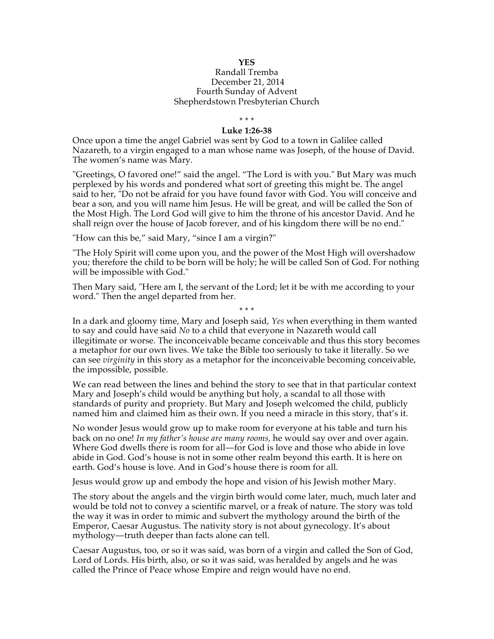## Randall Tremba December 21, 2014 Fourth Sunday of Advent Shepherdstown Presbyterian Church

\* \* \*

## **Luke 1:26-38**

Once upon a time the angel Gabriel was sent by God to a town in Galilee called Nazareth, to a virgin engaged to a man whose name was Joseph, of the house of David. The women's name was Mary.

"Greetings, O favored one!" said the angel. "The Lord is with you." But Mary was much perplexed by his words and pondered what sort of greeting this might be. The angel said to her, "Do not be afraid for you have found favor with God. You will conceive and bear a son, and you will name him Jesus. He will be great, and will be called the Son of the Most High. The Lord God will give to him the throne of his ancestor David. And he shall reign over the house of Jacob forever, and of his kingdom there will be no end."

"How can this be," said Mary, "since I am a virgin?"

"The Holy Spirit will come upon you, and the power of the Most High will overshadow you; therefore the child to be born will be holy; he will be called Son of God. For nothing will be impossible with God."

Then Mary said, "Here am I, the servant of the Lord; let it be with me according to your word." Then the angel departed from her.

\* \* \* In a dark and gloomy time, Mary and Joseph said, *Yes* when everything in them wanted to say and could have said *No* to a child that everyone in Nazareth would call illegitimate or worse. The inconceivable became conceivable and thus this story becomes a metaphor for our own lives. We take the Bible too seriously to take it literally. So we can see *virginity* in this story as a metaphor for the inconceivable becoming conceivable, the impossible, possible.

We can read between the lines and behind the story to see that in that particular context Mary and Joseph's child would be anything but holy, a scandal to all those with standards of purity and propriety. But Mary and Joseph welcomed the child, publicly named him and claimed him as their own. If you need a miracle in this story, that's it.

No wonder Jesus would grow up to make room for everyone at his table and turn his back on no one! *In my father's house are many rooms,* he would say over and over again. Where God dwells there is room for all—for God is love and those who abide in love abide in God. God's house is not in some other realm beyond this earth. It is here on earth. God's house is love. And in God's house there is room for all.

Jesus would grow up and embody the hope and vision of his Jewish mother Mary.

The story about the angels and the virgin birth would come later, much, much later and would be told not to convey a scientific marvel, or a freak of nature. The story was told the way it was in order to mimic and subvert the mythology around the birth of the Emperor, Caesar Augustus. The nativity story is not about gynecology. It's about mythology—truth deeper than facts alone can tell.

Caesar Augustus, too, or so it was said, was born of a virgin and called the Son of God, Lord of Lords. His birth, also, or so it was said, was heralded by angels and he was called the Prince of Peace whose Empire and reign would have no end.

## **YES**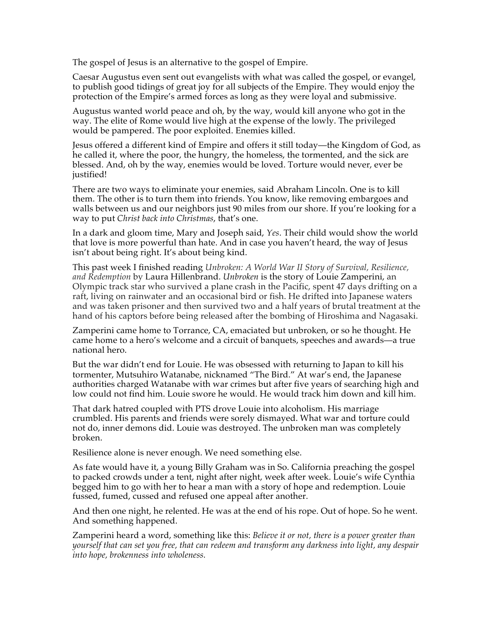The gospel of Jesus is an alternative to the gospel of Empire.

Caesar Augustus even sent out evangelists with what was called the gospel, or evangel, to publish good tidings of great joy for all subjects of the Empire. They would enjoy the protection of the Empire's armed forces as long as they were loyal and submissive.

Augustus wanted world peace and oh, by the way, would kill anyone who got in the way. The elite of Rome would live high at the expense of the lowly. The privileged would be pampered. The poor exploited. Enemies killed.

Jesus offered a different kind of Empire and offers it still today—the Kingdom of God, as he called it, where the poor, the hungry, the homeless, the tormented, and the sick are blessed. And, oh by the way, enemies would be loved. Torture would never, ever be justified!

There are two ways to eliminate your enemies, said Abraham Lincoln. One is to kill them. The other is to turn them into friends. You know, like removing embargoes and walls between us and our neighbors just 90 miles from our shore. If you're looking for a way to put *Christ back into Christmas*, that's one.

In a dark and gloom time, Mary and Joseph said, *Yes*. Their child would show the world that love is more powerful than hate. And in case you haven't heard, the way of Jesus isn't about being right. It's about being kind.

This past week I finished reading *Unbroken: A World War II Story of Survival, Resilience, and Redemption* by Laura Hillenbrand. *Unbroken* is the story of Louie Zamperini, an Olympic track star who survived a plane crash in the Pacific, spent 47 days drifting on a raft, living on rainwater and an occasional bird or fish. He drifted into Japanese waters and was taken prisoner and then survived two and a half years of brutal treatment at the hand of his captors before being released after the bombing of Hiroshima and Nagasaki.

Zamperini came home to Torrance, CA, emaciated but unbroken, or so he thought. He came home to a hero's welcome and a circuit of banquets, speeches and awards—a true national hero.

But the war didn't end for Louie. He was obsessed with returning to Japan to kill his tormenter, Mutsuhiro Watanabe, nicknamed "The Bird." At war's end, the Japanese authorities charged Watanabe with war crimes but after five years of searching high and low could not find him. Louie swore he would. He would track him down and kill him.

That dark hatred coupled with PTS drove Louie into alcoholism. His marriage crumbled. His parents and friends were sorely dismayed. What war and torture could not do, inner demons did. Louie was destroyed. The unbroken man was completely broken.

Resilience alone is never enough. We need something else.

As fate would have it, a young Billy Graham was in So. California preaching the gospel to packed crowds under a tent, night after night, week after week. Louie's wife Cynthia begged him to go with her to hear a man with a story of hope and redemption. Louie fussed, fumed, cussed and refused one appeal after another.

And then one night, he relented. He was at the end of his rope. Out of hope. So he went. And something happened.

Zamperini heard a word, something like this: *Believe it or not, there is a power greater than yourself that can set you free, that can redeem and transform any darkness into light, any despair into hope, brokenness into wholeness.*